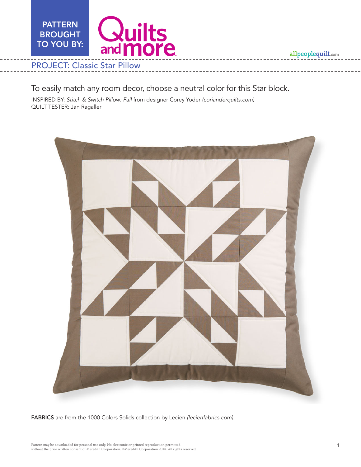allpeoplequilt.com



# To easily match any room decor, choose a neutral color for this Star block.

INSPIRED BY: *Stitch & Switch Pillow: Fall* from designer Corey Yoder *(corianderquilts.com)* QUILT TESTER: Jan Ragaller



FABRICS are from the 1000 Colors Solids collection by Lecien *(lecienfabrics.com)*.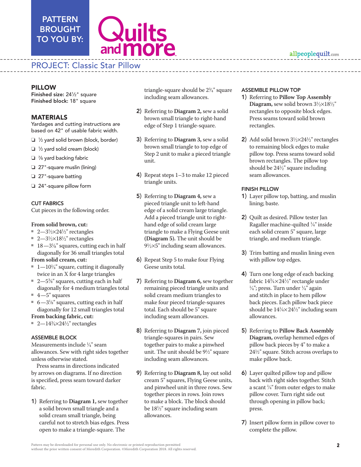# PATTERN BROUGHT TO YOU BY:

# **Quilts**<br>and **more**

# PROJECT: Classic Star Pillow

Finished size: 241 ⁄2" square Finished block: 18" square

### MATERIALS

Yardages and cutting instructions are based on 42" of usable fabric width.

- $\Box$  1/<sub>2</sub> yard solid brown (block, border)
- $\Box$  1/2 yard solid cream (block)
- $\Box$   $\%$  yard backing fabric
- $\Box$  27"-square muslin (lining)
- $\Box$  27"-square batting
- $\Box$  24"-square pillow form

#### CUT FABRICS

Cut pieces in the following order.

#### **From solid brown, cut:**

- 2—3½ $\times$ 24½" rectangles
- 2—3½ $\times$ 18½" rectangles
- $\blacksquare$  18—3<sup>1</sup>/<sub>8</sub>" squares, cutting each in half diagonally for 36 small triangles total

#### **From solid cream, cut:**

- $\blacksquare$  1—10¼" square, cutting it diagonally twice in an X for 4 large triangles
- $\blacksquare$  2—5%" squares, cutting each in half diagonally for 4 medium triangles total
- $4 5$ " squares
- 6—3¼" squares, cutting each in half diagonally for 12 small triangles total **From backing fabric, cut:**
- 2—14¾ $\times$ 24½" rectangles

#### ASSEMBLE BLOCK

Measurements include 1 ⁄4" seam allowances. Sew with right sides together unless otherwise stated.

Press seams in directions indicated by arrows on diagrams. If no direction is specified, press seam toward darker fabric.

1) Referring to **Diagram 1,** sew together a solid brown small triangle and a solid cream small triangle, being careful not to stretch bias edges. Press open to make a triangle-square. The

triangle-square should be 23 ⁄4" square including seam allowances.

- 2) Referring to **Diagram 2,** sew a solid brown small triangle to right-hand edge of Step 1 triangle-square.
- 3) Referring to **Diagram 3,** sew a solid brown small triangle to top edge of Step 2 unit to make a pieced triangle unit.
- 4) Repeat steps 1–3 to make 12 pieced triangle units.
- **PILLOW**<br> **PILLOW TEATIVE CONTROLLY (2)**  $\frac{1}{2}$  and the space of the space of the space of the space of the space of the space of the space of the space of the space of the space of the space of the space of the space 5) Referring to **Diagram 4,** sew a pieced triangle unit to left-hand edge of a solid cream large triangle. Add a pieced triangle unit to righthand edge of solid cream large triangle to make a Flying Geese unit **(Diagram 5).** The unit should be  $9\frac{1}{2} \times 5$ " including seam allowances.
	- 6) Repeat Step 5 to make four Flying Geese units total.
	- 7) Referring to **Diagram 6,** sew together remaining pieced triangle units and solid cream medium triangles to make four pieced triangle-squares total. Each should be 5" square including seam allowances.
	- 8) Referring to **Diagram 7,** join pieced triangle-squares in pairs. Sew together pairs to make a pinwheel unit. The unit should be  $9\frac{1}{2}$ " square including seam allowances.
	- 9) Referring to **Diagram 8,** lay out solid cream 5" squares, Flying Geese units, and pinwheel unit in three rows. Sew together pieces in rows. Join rows to make a block. The block should be 181 ⁄2" square including seam allowances.

#### ASSEMBLE PILLOW TOP

- 1) Referring to **Pillow Top Assembly**  Diagram, sew solid brown  $3\frac{1}{2}\times18\frac{1}{2}$ " rectangles to opposite block edges. Press seams toward solid brown rectangles.
- **2**) Add solid brown  $3\frac{1}{2} \times 24\frac{1}{2}$ " rectangles to remaining block edges to make pillow top. Press seams toward solid brown rectangles. The pillow top should be 241 ⁄2" square including seam allowances.

#### FINISH PILLOW

- 1) Layer pillow top, batting, and muslin lining; baste.
- 2) Quilt as desired. Pillow tester Jan Ragaller machine-quilted 1 ⁄4" inside each solid cream 5" square, large triangle, and medium triangle.
- 3) Trim batting and muslin lining even with pillow top edges.
- 4) Turn one long edge of each backing fabric 14¾×24½" rectangle under<br>¼": press. Turn under ¼" again  $\frac{\lambda}{4}$ "; press. Turn under  $\frac{1}{4}$ " again and stitch in place to hem pillow back pieces. Each pillow back piece should be  $14\frac{\cancel{1}}{4} \times 24\frac{\cancel{1}}{2}$  including seam allowances.
- 5) Referring to **Pillow Back Assembly Diagram,** overlap hemmed edges of pillow back pieces by 4" to make a 241 ⁄2" square. Stitch across overlaps to make pillow back.
- 6) Layer quilted pillow top and pillow back with right sides together. Stitch a scant  $\frac{1}{4}$ " from outer edges to make pillow cover. Turn right side out through opening in pillow back; press.
- 7) Insert pillow form in pillow cover to complete the pillow.

## allpeoplequilt.com

Pattern may be downloaded for personal use only. No electronic or printed reproduction permitted without the prior written consent of Meredith Corporation. ©Meredith Corporation 2018. All rights reserved.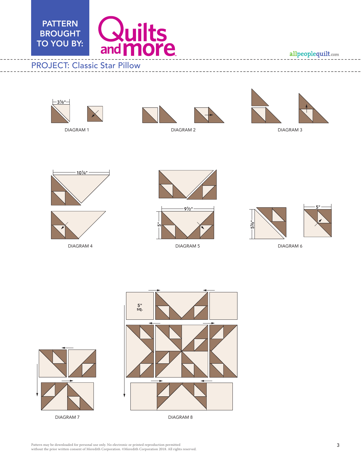

#### Color Option: Fall Pillow апре Liz Gordon 6/19/18



DIAGRAM 1



DIAGRAM 2



DIAGRAM 3



DIAGRAM 4





DIAGRAM 5



DIAGRAM 6